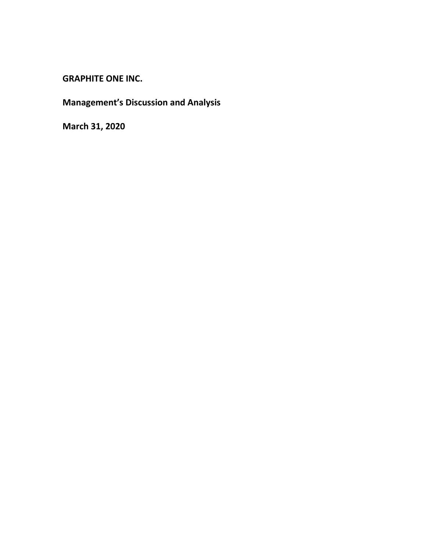**GRAPHITE ONE INC.**

# **Management's Discussion and Analysis**

**March 31, 2020**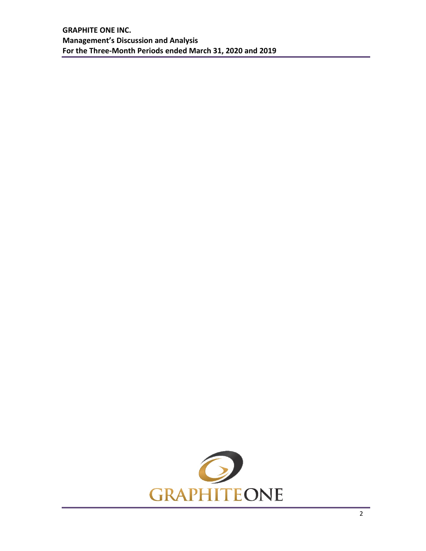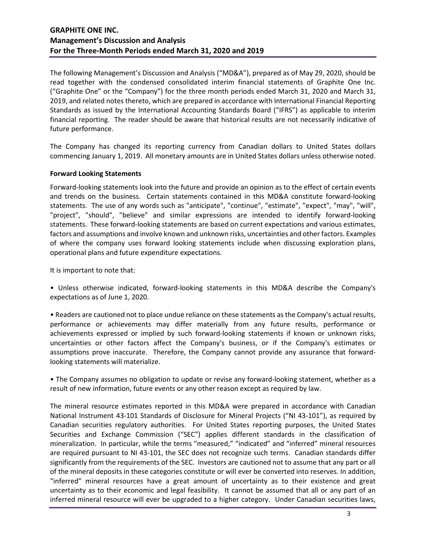The following Management's Discussion and Analysis ("MD&A"), prepared as of May 29, 2020, should be read together with the condensed consolidated interim financial statements of Graphite One Inc. ("Graphite One" or the "Company") for the three month periods ended March 31, 2020 and March 31, 2019, and related notes thereto, which are prepared in accordance with International Financial Reporting Standards as issued by the International Accounting Standards Board ("IFRS") as applicable to interim financial reporting. The reader should be aware that historical results are not necessarily indicative of future performance.

The Company has changed its reporting currency from Canadian dollars to United States dollars commencing January 1, 2019. All monetary amounts are in United States dollars unless otherwise noted.

#### **Forward Looking Statements**

Forward-looking statements look into the future and provide an opinion as to the effect of certain events and trends on the business. Certain statements contained in this MD&A constitute forward-looking statements. The use of any words such as "anticipate", "continue", "estimate", "expect", "may", "will", "project", "should", "believe" and similar expressions are intended to identify forward-looking statements. These forward-looking statements are based on current expectations and various estimates, factors and assumptions and involve known and unknown risks, uncertainties and other factors. Examples of where the company uses forward looking statements include when discussing exploration plans, operational plans and future expenditure expectations.

It is important to note that:

• Unless otherwise indicated, forward-looking statements in this MD&A describe the Company's expectations as of June 1, 2020.

• Readers are cautioned not to place undue reliance on these statements as the Company's actual results, performance or achievements may differ materially from any future results, performance or achievements expressed or implied by such forward-looking statements if known or unknown risks, uncertainties or other factors affect the Company's business, or if the Company's estimates or assumptions prove inaccurate. Therefore, the Company cannot provide any assurance that forwardlooking statements will materialize.

• The Company assumes no obligation to update or revise any forward-looking statement, whether as a result of new information, future events or any other reason except as required by law.

The mineral resource estimates reported in this MD&A were prepared in accordance with Canadian National Instrument 43-101 Standards of Disclosure for Mineral Projects ("NI 43-101"), as required by Canadian securities regulatory authorities. For United States reporting purposes, the United States Securities and Exchange Commission ("SEC") applies different standards in the classification of mineralization. In particular, while the terms "measured," "indicated" and "inferred" mineral resources are required pursuant to NI 43-101, the SEC does not recognize such terms. Canadian standards differ significantly from the requirements of the SEC. Investors are cautioned not to assume that any part or all of the mineral deposits in these categories constitute or will ever be converted into reserves. In addition, "inferred" mineral resources have a great amount of uncertainty as to their existence and great uncertainty as to their economic and legal feasibility. It cannot be assumed that all or any part of an inferred mineral resource will ever be upgraded to a higher category. Under Canadian securities laws,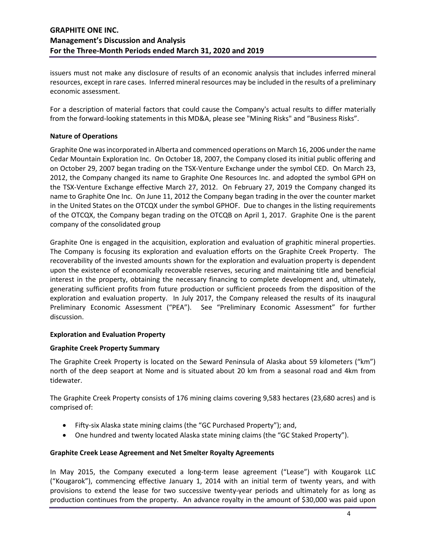issuers must not make any disclosure of results of an economic analysis that includes inferred mineral resources, except in rare cases. Inferred mineral resources may be included in the results of a preliminary economic assessment.

For a description of material factors that could cause the Company's actual results to differ materially from the forward-looking statements in this MD&A, please see "Mining Risks" and "Business Risks".

## **Nature of Operations**

Graphite One was incorporated in Alberta and commenced operations on March 16, 2006 under the name Cedar Mountain Exploration Inc. On October 18, 2007, the Company closed its initial public offering and on October 29, 2007 began trading on the TSX-Venture Exchange under the symbol CED. On March 23, 2012, the Company changed its name to Graphite One Resources Inc. and adopted the symbol GPH on the TSX-Venture Exchange effective March 27, 2012. On February 27, 2019 the Company changed its name to Graphite One Inc. On June 11, 2012 the Company began trading in the over the counter market in the United States on the OTCQX under the symbol GPHOF. Due to changes in the listing requirements of the OTCQX, the Company began trading on the OTCQB on April 1, 2017. Graphite One is the parent company of the consolidated group

Graphite One is engaged in the acquisition, exploration and evaluation of graphitic mineral properties. The Company is focusing its exploration and evaluation efforts on the Graphite Creek Property. The recoverability of the invested amounts shown for the exploration and evaluation property is dependent upon the existence of economically recoverable reserves, securing and maintaining title and beneficial interest in the property, obtaining the necessary financing to complete development and, ultimately, generating sufficient profits from future production or sufficient proceeds from the disposition of the exploration and evaluation property. In July 2017, the Company released the results of its inaugural Preliminary Economic Assessment ("PEA"). See "Preliminary Economic Assessment" for further discussion.

#### **Exploration and Evaluation Property**

#### **Graphite Creek Property Summary**

The Graphite Creek Property is located on the Seward Peninsula of Alaska about 59 kilometers ("km") north of the deep seaport at Nome and is situated about 20 km from a seasonal road and 4km from tidewater.

The Graphite Creek Property consists of 176 mining claims covering 9,583 hectares (23,680 acres) and is comprised of:

- Fifty-six Alaska state mining claims (the "GC Purchased Property"); and,
- One hundred and twenty located Alaska state mining claims (the "GC Staked Property").

#### **Graphite Creek Lease Agreement and Net Smelter Royalty Agreements**

In May 2015, the Company executed a long-term lease agreement ("Lease") with Kougarok LLC ("Kougarok"), commencing effective January 1, 2014 with an initial term of twenty years, and with provisions to extend the lease for two successive twenty-year periods and ultimately for as long as production continues from the property. An advance royalty in the amount of \$30,000 was paid upon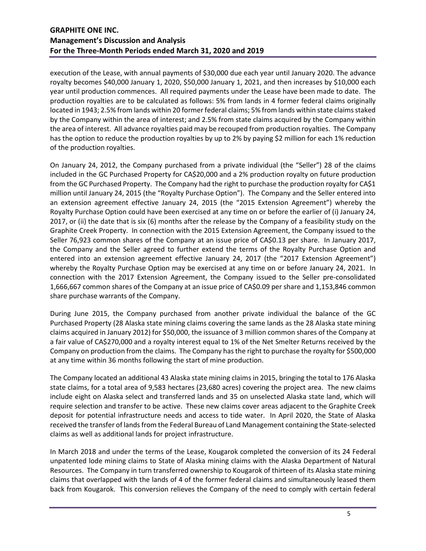execution of the Lease, with annual payments of \$30,000 due each year until January 2020. The advance royalty becomes \$40,000 January 1, 2020, \$50,000 January 1, 2021, and then increases by \$10,000 each year until production commences. All required payments under the Lease have been made to date. The production royalties are to be calculated as follows: 5% from lands in 4 former federal claims originally located in 1943; 2.5% from lands within 20 former federal claims; 5% from lands within state claims staked by the Company within the area of interest; and 2.5% from state claims acquired by the Company within the area of interest. All advance royalties paid may be recouped from production royalties. The Company has the option to reduce the production royalties by up to 2% by paying \$2 million for each 1% reduction of the production royalties.

On January 24, 2012, the Company purchased from a private individual (the "Seller") 28 of the claims included in the GC Purchased Property for CA\$20,000 and a 2% production royalty on future production from the GC Purchased Property. The Company had the right to purchase the production royalty for CA\$1 million until January 24, 2015 (the "Royalty Purchase Option"). The Company and the Seller entered into an extension agreement effective January 24, 2015 (the "2015 Extension Agreement") whereby the Royalty Purchase Option could have been exercised at any time on or before the earlier of (i) January 24, 2017, or (ii) the date that is six (6) months after the release by the Company of a feasibility study on the Graphite Creek Property. In connection with the 2015 Extension Agreement, the Company issued to the Seller 76,923 common shares of the Company at an issue price of CA\$0.13 per share. In January 2017, the Company and the Seller agreed to further extend the terms of the Royalty Purchase Option and entered into an extension agreement effective January 24, 2017 (the "2017 Extension Agreement") whereby the Royalty Purchase Option may be exercised at any time on or before January 24, 2021. In connection with the 2017 Extension Agreement, the Company issued to the Seller pre-consolidated 1,666,667 common shares of the Company at an issue price of CA\$0.09 per share and 1,153,846 common share purchase warrants of the Company.

During June 2015, the Company purchased from another private individual the balance of the GC Purchased Property (28 Alaska state mining claims covering the same lands as the 28 Alaska state mining claims acquired in January 2012) for \$50,000, the issuance of 3 million common shares of the Company at a fair value of CA\$270,000 and a royalty interest equal to 1% of the Net Smelter Returns received by the Company on production from the claims. The Company has the right to purchase the royalty for \$500,000 at any time within 36 months following the start of mine production.

The Company located an additional 43 Alaska state mining claims in 2015, bringing the total to 176 Alaska state claims, for a total area of 9,583 hectares (23,680 acres) covering the project area. The new claims include eight on Alaska select and transferred lands and 35 on unselected Alaska state land, which will require selection and transfer to be active. These new claims cover areas adjacent to the Graphite Creek deposit for potential infrastructure needs and access to tide water. In April 2020, the State of Alaska received the transfer of lands from the Federal Bureau of Land Management containing the State-selected claims as well as additional lands for project infrastructure.

In March 2018 and under the terms of the Lease, Kougarok completed the conversion of its 24 Federal unpatented lode mining claims to State of Alaska mining claims with the Alaska Department of Natural Resources. The Company in turn transferred ownership to Kougarok of thirteen of its Alaska state mining claims that overlapped with the lands of 4 of the former federal claims and simultaneously leased them back from Kougarok. This conversion relieves the Company of the need to comply with certain federal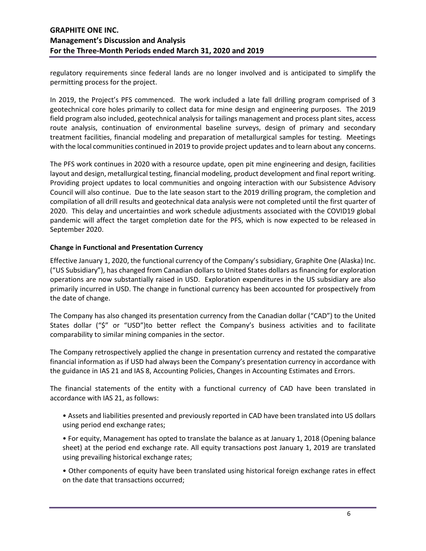regulatory requirements since federal lands are no longer involved and is anticipated to simplify the permitting process for the project.

In 2019, the Project's PFS commenced. The work included a late fall drilling program comprised of 3 geotechnical core holes primarily to collect data for mine design and engineering purposes. The 2019 field program also included, geotechnical analysis for tailings management and process plant sites, access route analysis, continuation of environmental baseline surveys, design of primary and secondary treatment facilities, financial modeling and preparation of metallurgical samples for testing. Meetings with the local communities continued in 2019 to provide project updates and to learn about any concerns.

The PFS work continues in 2020 with a resource update, open pit mine engineering and design, facilities layout and design, metallurgical testing, financial modeling, product development and final report writing. Providing project updates to local communities and ongoing interaction with our Subsistence Advisory Council will also continue. Due to the late season start to the 2019 drilling program, the completion and compilation of all drill results and geotechnical data analysis were not completed until the first quarter of 2020. This delay and uncertainties and work schedule adjustments associated with the COVID19 global pandemic will affect the target completion date for the PFS, which is now expected to be released in September 2020.

## **Change in Functional and Presentation Currency**

Effective January 1, 2020, the functional currency of the Company's subsidiary, Graphite One (Alaska) Inc. ("US Subsidiary"), has changed from Canadian dollars to United States dollars as financing for exploration operations are now substantially raised in USD. Exploration expenditures in the US subsidiary are also primarily incurred in USD. The change in functional currency has been accounted for prospectively from the date of change.

The Company has also changed its presentation currency from the Canadian dollar ("CAD") to the United States dollar ("\$" or "USD")to better reflect the Company's business activities and to facilitate comparability to similar mining companies in the sector.

The Company retrospectively applied the change in presentation currency and restated the comparative financial information as if USD had always been the Company's presentation currency in accordance with the guidance in IAS 21 and IAS 8, Accounting Policies, Changes in Accounting Estimates and Errors.

The financial statements of the entity with a functional currency of CAD have been translated in accordance with IAS 21, as follows:

• Assets and liabilities presented and previously reported in CAD have been translated into US dollars using period end exchange rates;

• For equity, Management has opted to translate the balance as at January 1, 2018 (Opening balance sheet) at the period end exchange rate. All equity transactions post January 1, 2019 are translated using prevailing historical exchange rates;

• Other components of equity have been translated using historical foreign exchange rates in effect on the date that transactions occurred;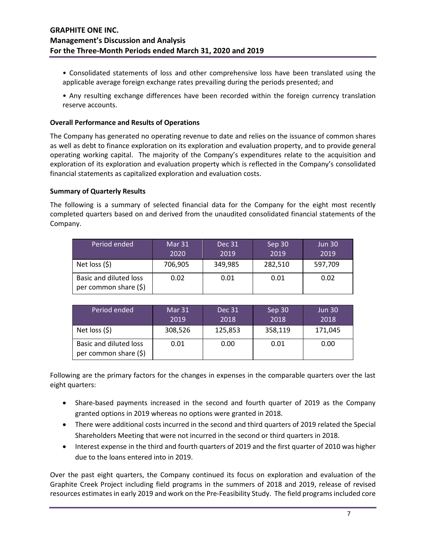- Consolidated statements of loss and other comprehensive loss have been translated using the applicable average foreign exchange rates prevailing during the periods presented; and
- Any resulting exchange differences have been recorded within the foreign currency translation reserve accounts.

# **Overall Performance and Results of Operations**

The Company has generated no operating revenue to date and relies on the issuance of common shares as well as debt to finance exploration on its exploration and evaluation property, and to provide general operating working capital. The majority of the Company's expenditures relate to the acquisition and exploration of its exploration and evaluation property which is reflected in the Company's consolidated financial statements as capitalized exploration and evaluation costs.

#### **Summary of Quarterly Results**

The following is a summary of selected financial data for the Company for the eight most recently completed quarters based on and derived from the unaudited consolidated financial statements of the Company.

| Period ended                                    | Mar 31<br>2020 | Dec 31<br>2019 | Sep 30<br>2019 | <b>Jun 30</b><br>2019 |
|-------------------------------------------------|----------------|----------------|----------------|-----------------------|
| Net loss $(5)$                                  | 706,905        | 349.985        | 282,510        | 597,709               |
| Basic and diluted loss<br>per common share (\$) | 0.02           | 0.01           | 0.01           | 0.02                  |

| Period ended                                    | Mar 31<br>2019 | Dec 31<br>2018 | Sep 30<br>2018 | <b>Jun 30</b><br>2018 |
|-------------------------------------------------|----------------|----------------|----------------|-----------------------|
| Net loss $(5)$                                  | 308,526        | 125,853        | 358,119        | 171,045               |
| Basic and diluted loss<br>per common share (\$) | 0.01           | 0.00           | 0.01           | 0.00                  |

Following are the primary factors for the changes in expenses in the comparable quarters over the last eight quarters:

- Share-based payments increased in the second and fourth quarter of 2019 as the Company granted options in 2019 whereas no options were granted in 2018.
- There were additional costs incurred in the second and third quarters of 2019 related the Special Shareholders Meeting that were not incurred in the second or third quarters in 2018.
- Interest expense in the third and fourth quarters of 2019 and the first quarter of 2010 was higher due to the loans entered into in 2019.

Over the past eight quarters, the Company continued its focus on exploration and evaluation of the Graphite Creek Project including field programs in the summers of 2018 and 2019, release of revised resources estimates in early 2019 and work on the Pre-Feasibility Study. The field programs included core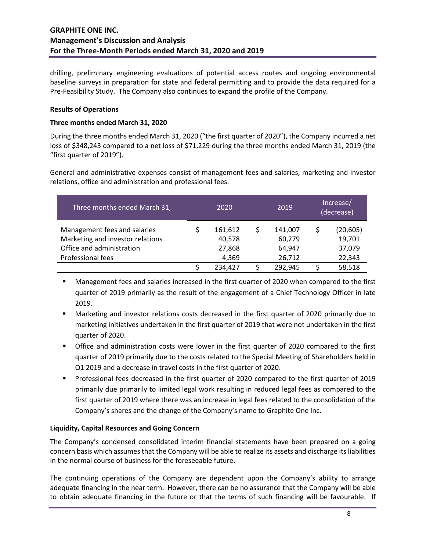drilling, preliminary engineering evaluations of potential access routes and ongoing environmental baseline surveys in preparation for state and federal permitting and to provide the data required for a Pre-Feasibility Study. The Company also continues to expand the profile of the Company.

## **Results of Operations**

### **Three months ended March 31, 2020**

During the three months ended March 31, 2020 ("the first quarter of 2020"), the Company incurred a net loss of \$348,243 compared to a net loss of \$71,229 during the three months ended March 31, 2019 (the "first quarter of 2019").

General and administrative expenses consist of management fees and salaries, marketing and investor relations, office and administration and professional fees.

| Three months ended March 31,                                                                  | 2020 |                             | Increase/<br>2019<br>(decrease) |  |                               |
|-----------------------------------------------------------------------------------------------|------|-----------------------------|---------------------------------|--|-------------------------------|
| Management fees and salaries<br>Marketing and investor relations<br>Office and administration |      | 161,612<br>40,578<br>27,868 | 141,007<br>60,279<br>64.947     |  | (20, 605)<br>19,701<br>37,079 |
| Professional fees                                                                             |      | 4,369                       | 26,712                          |  | 22,343                        |
|                                                                                               |      | 234.427                     | 292,945                         |  | 58,518                        |

- Management fees and salaries increased in the first quarter of 2020 when compared to the first quarter of 2019 primarily as the result of the engagement of a Chief Technology Officer in late 2019.
- Marketing and investor relations costs decreased in the first quarter of 2020 primarily due to marketing initiatives undertaken in the first quarter of 2019 that were not undertaken in the first quarter of 2020.
- Office and administration costs were lower in the first quarter of 2020 compared to the first quarter of 2019 primarily due to the costs related to the Special Meeting of Shareholders held in Q1 2019 and a decrease in travel costs in the first quarter of 2020.
- **Professional fees decreased in the first quarter of 2020 compared to the first quarter of 2019** primarily due primarily to limited legal work resulting in reduced legal fees as compared to the first quarter of 2019 where there was an increase in legal fees related to the consolidation of the Company's shares and the change of the Company's name to Graphite One Inc.

#### **Liquidity, Capital Resources and Going Concern**

The Company's condensed consolidated interim financial statements have been prepared on a going concern basis which assumes that the Company will be able to realize its assets and discharge its liabilities in the normal course of business for the foreseeable future.

The continuing operations of the Company are dependent upon the Company's ability to arrange adequate financing in the near term. However, there can be no assurance that the Company will be able to obtain adequate financing in the future or that the terms of such financing will be favourable. If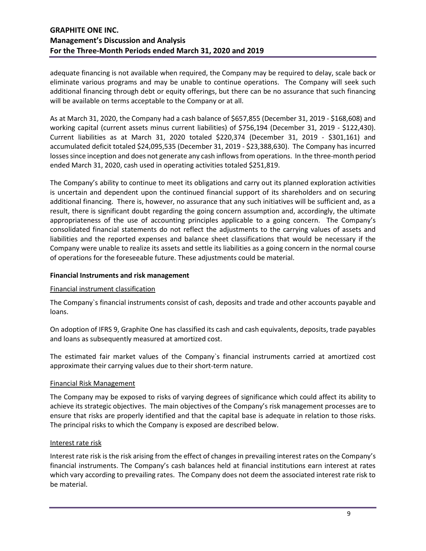adequate financing is not available when required, the Company may be required to delay, scale back or eliminate various programs and may be unable to continue operations. The Company will seek such additional financing through debt or equity offerings, but there can be no assurance that such financing will be available on terms acceptable to the Company or at all.

As at March 31, 2020, the Company had a cash balance of \$657,855 (December 31, 2019 - \$168,608) and working capital (current assets minus current liabilities) of \$756,194 (December 31, 2019 - \$122,430). Current liabilities as at March 31, 2020 totaled \$220,374 (December 31, 2019 - \$301,161) and accumulated deficit totaled \$24,095,535 (December 31, 2019 - \$23,388,630). The Company has incurred losses since inception and does not generate any cash inflows from operations. In the three-month period ended March 31, 2020, cash used in operating activities totaled \$251,819.

The Company's ability to continue to meet its obligations and carry out its planned exploration activities is uncertain and dependent upon the continued financial support of its shareholders and on securing additional financing. There is, however, no assurance that any such initiatives will be sufficient and, as a result, there is significant doubt regarding the going concern assumption and, accordingly, the ultimate appropriateness of the use of accounting principles applicable to a going concern. The Company's consolidated financial statements do not reflect the adjustments to the carrying values of assets and liabilities and the reported expenses and balance sheet classifications that would be necessary if the Company were unable to realize its assets and settle its liabilities as a going concern in the normal course of operations for the foreseeable future. These adjustments could be material.

# **Financial Instruments and risk management**

#### Financial instrument classification

The Company`s financial instruments consist of cash, deposits and trade and other accounts payable and loans.

On adoption of IFRS 9, Graphite One has classified its cash and cash equivalents, deposits, trade payables and loans as subsequently measured at amortized cost.

The estimated fair market values of the Company`s financial instruments carried at amortized cost approximate their carrying values due to their short-term nature.

#### Financial Risk Management

The Company may be exposed to risks of varying degrees of significance which could affect its ability to achieve its strategic objectives. The main objectives of the Company's risk management processes are to ensure that risks are properly identified and that the capital base is adequate in relation to those risks. The principal risks to which the Company is exposed are described below.

#### Interest rate risk

Interest rate risk is the risk arising from the effect of changes in prevailing interest rates on the Company's financial instruments. The Company's cash balances held at financial institutions earn interest at rates which vary according to prevailing rates. The Company does not deem the associated interest rate risk to be material.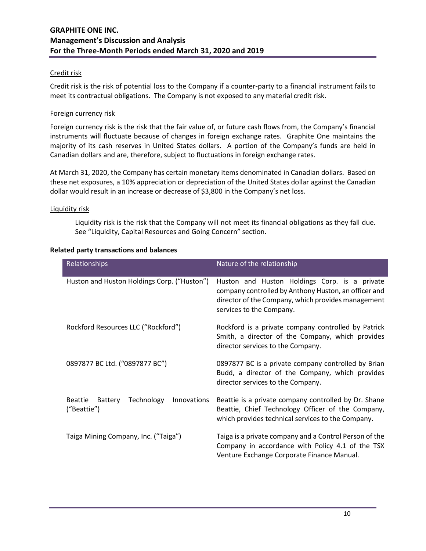# Credit risk

Credit risk is the risk of potential loss to the Company if a counter-party to a financial instrument fails to meet its contractual obligations. The Company is not exposed to any material credit risk.

### Foreign currency risk

Foreign currency risk is the risk that the fair value of, or future cash flows from, the Company's financial instruments will fluctuate because of changes in foreign exchange rates. Graphite One maintains the majority of its cash reserves in United States dollars. A portion of the Company's funds are held in Canadian dollars and are, therefore, subject to fluctuations in foreign exchange rates.

At March 31, 2020, the Company has certain monetary items denominated in Canadian dollars. Based on these net exposures, a 10% appreciation or depreciation of the United States dollar against the Canadian dollar would result in an increase or decrease of \$3,800 in the Company's net loss.

#### Liquidity risk

Liquidity risk is the risk that the Company will not meet its financial obligations as they fall due. See "Liquidity, Capital Resources and Going Concern" section.

| <b>Relationships</b>                                                  | Nature of the relationship                                                                                                                                                              |  |  |  |
|-----------------------------------------------------------------------|-----------------------------------------------------------------------------------------------------------------------------------------------------------------------------------------|--|--|--|
| Huston and Huston Holdings Corp. ("Huston")                           | Huston and Huston Holdings Corp. is a private<br>company controlled by Anthony Huston, an officer and<br>director of the Company, which provides management<br>services to the Company. |  |  |  |
| Rockford Resources LLC ("Rockford")                                   | Rockford is a private company controlled by Patrick<br>Smith, a director of the Company, which provides<br>director services to the Company.                                            |  |  |  |
| 0897877 BC Ltd. ("0897877 BC")                                        | 0897877 BC is a private company controlled by Brian<br>Budd, a director of the Company, which provides<br>director services to the Company.                                             |  |  |  |
| <b>Beattie</b><br>Technology<br>Innovations<br>Battery<br>("Beattie") | Beattie is a private company controlled by Dr. Shane<br>Beattie, Chief Technology Officer of the Company,<br>which provides technical services to the Company.                          |  |  |  |
| Taiga Mining Company, Inc. ("Taiga")                                  | Taiga is a private company and a Control Person of the<br>Company in accordance with Policy 4.1 of the TSX<br>Venture Exchange Corporate Finance Manual.                                |  |  |  |

#### **Related party transactions and balances**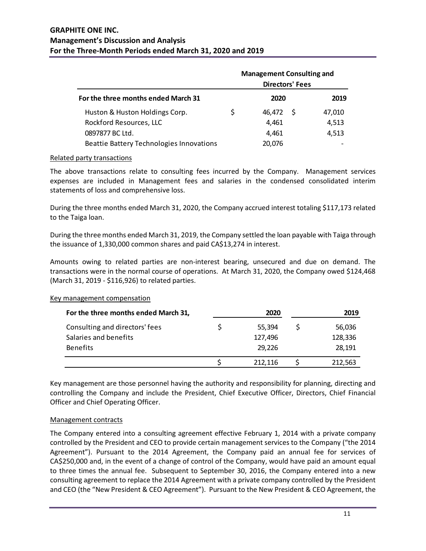|                                                 | <b>Management Consulting and</b><br><b>Directors' Fees</b> |           |        |  |
|-------------------------------------------------|------------------------------------------------------------|-----------|--------|--|
| For the three months ended March 31             |                                                            | 2020      | 2019   |  |
| Huston & Huston Holdings Corp.                  | S                                                          | 46,472 \$ | 47,010 |  |
| Rockford Resources, LLC                         |                                                            | 4,461     | 4,513  |  |
| 0897877 BC Ltd.                                 |                                                            | 4,461     | 4,513  |  |
| <b>Beattie Battery Technologies Innovations</b> |                                                            | 20,076    |        |  |

#### Related party transactions

The above transactions relate to consulting fees incurred by the Company. Management services expenses are included in Management fees and salaries in the condensed consolidated interim statements of loss and comprehensive loss.

During the three months ended March 31, 2020, the Company accrued interest totaling \$117,173 related to the Taiga loan.

During the three months ended March 31, 2019, the Company settled the loan payable with Taiga through the issuance of 1,330,000 common shares and paid CA\$13,274 in interest.

Amounts owing to related parties are non-interest bearing, unsecured and due on demand. The transactions were in the normal course of operations. At March 31, 2020, the Company owed \$124,468 (March 31, 2019 - \$116,926) to related parties.

| For the three months ended March 31, | 2020    | 2019    |
|--------------------------------------|---------|---------|
| Consulting and directors' fees       | 55,394  | 56,036  |
| Salaries and benefits                | 127,496 | 128,336 |
| <b>Benefits</b>                      | 29.226  | 28.191  |
|                                      | 212.116 | 212.563 |

#### Key management compensation

Key management are those personnel having the authority and responsibility for planning, directing and controlling the Company and include the President, Chief Executive Officer, Directors, Chief Financial Officer and Chief Operating Officer.

#### Management contracts

The Company entered into a consulting agreement effective February 1, 2014 with a private company controlled by the President and CEO to provide certain management services to the Company ("the 2014 Agreement"). Pursuant to the 2014 Agreement, the Company paid an annual fee for services of CA\$250,000 and, in the event of a change of control of the Company, would have paid an amount equal to three times the annual fee. Subsequent to September 30, 2016, the Company entered into a new consulting agreement to replace the 2014 Agreement with a private company controlled by the President and CEO (the "New President & CEO Agreement"). Pursuant to the New President & CEO Agreement, the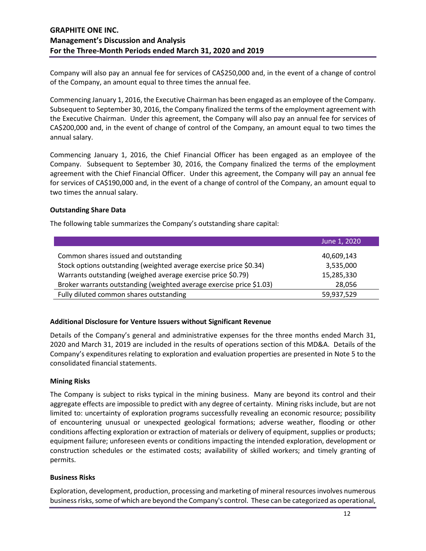Company will also pay an annual fee for services of CA\$250,000 and, in the event of a change of control of the Company, an amount equal to three times the annual fee.

Commencing January 1, 2016, the Executive Chairman has been engaged as an employee of the Company. Subsequent to September 30, 2016, the Company finalized the terms of the employment agreement with the Executive Chairman. Under this agreement, the Company will also pay an annual fee for services of CA\$200,000 and, in the event of change of control of the Company, an amount equal to two times the annual salary.

Commencing January 1, 2016, the Chief Financial Officer has been engaged as an employee of the Company. Subsequent to September 30, 2016, the Company finalized the terms of the employment agreement with the Chief Financial Officer. Under this agreement, the Company will pay an annual fee for services of CA\$190,000 and, in the event of a change of control of the Company, an amount equal to two times the annual salary.

## **Outstanding Share Data**

The following table summarizes the Company's outstanding share capital:

|                                                                      | June 1, 2020 |
|----------------------------------------------------------------------|--------------|
| Common shares issued and outstanding                                 | 40,609,143   |
| Stock options outstanding (weighted average exercise price \$0.34)   | 3,535,000    |
| Warrants outstanding (weighed average exercise price \$0.79)         | 15,285,330   |
| Broker warrants outstanding (weighted average exercise price \$1.03) | 28,056       |
| Fully diluted common shares outstanding                              | 59,937,529   |

# **Additional Disclosure for Venture Issuers without Significant Revenue**

Details of the Company's general and administrative expenses for the three months ended March 31, 2020 and March 31, 2019 are included in the results of operations section of this MD&A. Details of the Company's expenditures relating to exploration and evaluation properties are presented in Note 5 to the consolidated financial statements.

#### **Mining Risks**

The Company is subject to risks typical in the mining business. Many are beyond its control and their aggregate effects are impossible to predict with any degree of certainty. Mining risks include, but are not limited to: uncertainty of exploration programs successfully revealing an economic resource; possibility of encountering unusual or unexpected geological formations; adverse weather, flooding or other conditions affecting exploration or extraction of materials or delivery of equipment, supplies or products; equipment failure; unforeseen events or conditions impacting the intended exploration, development or construction schedules or the estimated costs; availability of skilled workers; and timely granting of permits.

#### **Business Risks**

Exploration, development, production, processing and marketing of mineral resources involves numerous business risks, some of which are beyond the Company's control. These can be categorized as operational,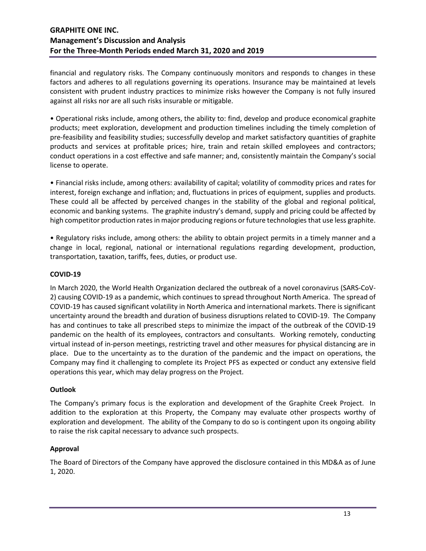financial and regulatory risks. The Company continuously monitors and responds to changes in these factors and adheres to all regulations governing its operations. Insurance may be maintained at levels consistent with prudent industry practices to minimize risks however the Company is not fully insured against all risks nor are all such risks insurable or mitigable.

• Operational risks include, among others, the ability to: find, develop and produce economical graphite products; meet exploration, development and production timelines including the timely completion of pre-feasibility and feasibility studies; successfully develop and market satisfactory quantities of graphite products and services at profitable prices; hire, train and retain skilled employees and contractors; conduct operations in a cost effective and safe manner; and, consistently maintain the Company's social license to operate.

• Financial risks include, among others: availability of capital; volatility of commodity prices and rates for interest, foreign exchange and inflation; and, fluctuations in prices of equipment, supplies and products. These could all be affected by perceived changes in the stability of the global and regional political, economic and banking systems. The graphite industry's demand, supply and pricing could be affected by high competitor production rates in major producing regions or future technologies that use less graphite.

• Regulatory risks include, among others: the ability to obtain project permits in a timely manner and a change in local, regional, national or international regulations regarding development, production, transportation, taxation, tariffs, fees, duties, or product use.

# **COVID-19**

In March 2020, the World Health Organization declared the outbreak of a novel coronavirus (SARS-CoV-2) causing COVID-19 as a pandemic, which continues to spread throughout North America. The spread of COVID-19 has caused significant volatility in North America and international markets. There is significant uncertainty around the breadth and duration of business disruptions related to COVID-19. The Company has and continues to take all prescribed steps to minimize the impact of the outbreak of the COVID-19 pandemic on the health of its employees, contractors and consultants. Working remotely, conducting virtual instead of in-person meetings, restricting travel and other measures for physical distancing are in place. Due to the uncertainty as to the duration of the pandemic and the impact on operations, the Company may find it challenging to complete its Project PFS as expected or conduct any extensive field operations this year, which may delay progress on the Project.

#### **Outlook**

The Company's primary focus is the exploration and development of the Graphite Creek Project. In addition to the exploration at this Property, the Company may evaluate other prospects worthy of exploration and development. The ability of the Company to do so is contingent upon its ongoing ability to raise the risk capital necessary to advance such prospects.

#### **Approval**

The Board of Directors of the Company have approved the disclosure contained in this MD&A as of June 1, 2020.